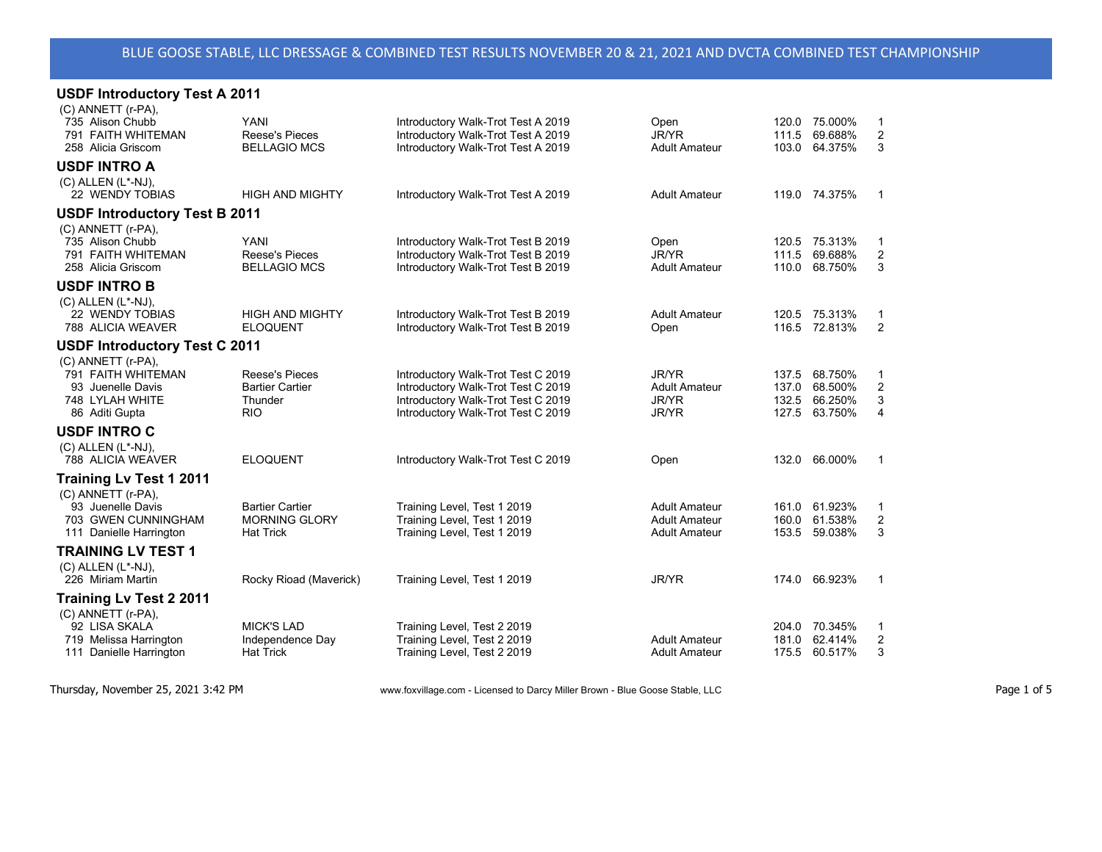| <b>USDF Introductory Test A 2011</b>                                                               |                                                                          |                                                                                                                                                      |                                                                      |                |                                                      |                               |
|----------------------------------------------------------------------------------------------------|--------------------------------------------------------------------------|------------------------------------------------------------------------------------------------------------------------------------------------------|----------------------------------------------------------------------|----------------|------------------------------------------------------|-------------------------------|
| (C) ANNETT (r-PA),<br>735 Alison Chubb<br>791 FAITH WHITEMAN<br>258 Alicia Griscom                 | <b>YANI</b><br><b>Reese's Pieces</b><br><b>BELLAGIO MCS</b>              | Introductory Walk-Trot Test A 2019<br>Introductory Walk-Trot Test A 2019<br>Introductory Walk-Trot Test A 2019                                       | Open<br>JR/YR<br><b>Adult Amateur</b>                                |                | 120.0 75.000%<br>111.5 69.688%<br>103.0 64.375%      | 1<br>$\overline{c}$<br>3      |
| <b>USDF INTRO A</b>                                                                                |                                                                          |                                                                                                                                                      |                                                                      |                |                                                      |                               |
| (C) ALLEN (L*-NJ),<br>22 WENDY TOBIAS                                                              | <b>HIGH AND MIGHTY</b>                                                   | Introductory Walk-Trot Test A 2019                                                                                                                   | <b>Adult Amateur</b>                                                 |                | 119.0 74.375%                                        | 1                             |
| <b>USDF Introductory Test B 2011</b>                                                               |                                                                          |                                                                                                                                                      |                                                                      |                |                                                      |                               |
| (C) ANNETT (r-PA),<br>735 Alison Chubb<br>791 FAITH WHITEMAN<br>258 Alicia Griscom                 | YANI<br>Reese's Pieces<br><b>BELLAGIO MCS</b>                            | Introductory Walk-Trot Test B 2019<br>Introductory Walk-Trot Test B 2019<br>Introductory Walk-Trot Test B 2019                                       | Open<br>JR/YR<br><b>Adult Amateur</b>                                | 111.5          | 120.5 75.313%<br>69.688%<br>110.0 68.750%            | $\overline{c}$<br>3           |
| <b>USDF INTRO B</b>                                                                                |                                                                          |                                                                                                                                                      |                                                                      |                |                                                      |                               |
| $(C)$ ALLEN $(L^*$ -NJ),<br>22 WENDY TOBIAS<br>788 ALICIA WEAVER                                   | <b>HIGH AND MIGHTY</b><br><b>ELOQUENT</b>                                | Introductory Walk-Trot Test B 2019<br>Introductory Walk-Trot Test B 2019                                                                             | <b>Adult Amateur</b><br>Open                                         |                | 120.5 75.313%<br>116.5 72.813%                       | 1<br>$\overline{2}$           |
| <b>USDF Introductory Test C 2011</b>                                                               |                                                                          |                                                                                                                                                      |                                                                      |                |                                                      |                               |
| (C) ANNETT (r-PA).<br>791 FAITH WHITEMAN<br>93 Juenelle Davis<br>748 LYLAH WHITE<br>86 Aditi Gupta | <b>Reese's Pieces</b><br><b>Bartier Cartier</b><br>Thunder<br><b>RIO</b> | Introductory Walk-Trot Test C 2019<br>Introductory Walk-Trot Test C 2019<br>Introductory Walk-Trot Test C 2019<br>Introductory Walk-Trot Test C 2019 | <b>JR/YR</b><br><b>Adult Amateur</b><br><b>JR/YR</b><br>JR/YR        | 137.5<br>137.0 | 68.750%<br>68.500%<br>132.5 66.250%<br>127.5 63.750% | 1<br>$\overline{c}$<br>3<br>4 |
| <b>USDF INTRO C</b>                                                                                |                                                                          |                                                                                                                                                      |                                                                      |                |                                                      |                               |
| $(C)$ ALLEN $(L^*$ -NJ),<br>788 ALICIA WEAVER                                                      | <b>ELOQUENT</b>                                                          | Introductory Walk-Trot Test C 2019                                                                                                                   | Open                                                                 | 132.0          | 66.000%                                              | 1                             |
| Training Lv Test 1 2011                                                                            |                                                                          |                                                                                                                                                      |                                                                      |                |                                                      |                               |
| (C) ANNETT (r-PA).<br>93 Juenelle Davis<br>703 GWEN CUNNINGHAM<br>111 Danielle Harrington          | <b>Bartier Cartier</b><br><b>MORNING GLORY</b><br><b>Hat Trick</b>       | Training Level, Test 1 2019<br>Training Level, Test 1 2019<br>Training Level, Test 1 2019                                                            | <b>Adult Amateur</b><br><b>Adult Amateur</b><br><b>Adult Amateur</b> | 161.0<br>160.0 | 61.923%<br>61.538%<br>153.5 59.038%                  | $\overline{\mathbf{c}}$<br>3  |
| <b>TRAINING LV TEST 1</b>                                                                          |                                                                          |                                                                                                                                                      |                                                                      |                |                                                      |                               |
| (C) ALLEN (L*-NJ),<br>226 Miriam Martin                                                            | Rocky Rioad (Maverick)                                                   | Training Level, Test 1 2019                                                                                                                          | JR/YR                                                                |                | 174.0 66.923%                                        | 1                             |
| <b>Training Lv Test 2 2011</b>                                                                     |                                                                          |                                                                                                                                                      |                                                                      |                |                                                      |                               |
| (C) ANNETT (r-PA),<br>92 LISA SKALA<br>719 Melissa Harrington<br>111 Danielle Harrington           | <b>MICK'S LAD</b><br>Independence Day<br><b>Hat Trick</b>                | Training Level, Test 2 2019<br>Training Level, Test 2 2019<br>Training Level, Test 2 2019                                                            | <b>Adult Amateur</b><br><b>Adult Amateur</b>                         | 181.0          | 204.0 70.345%<br>62.414%<br>175.5 60.517%            | 1<br>$\overline{a}$<br>3      |
|                                                                                                    |                                                                          |                                                                                                                                                      |                                                                      |                |                                                      |                               |

Thursday, November 25, 2021 3:42 PM www.foxvillage.com - Licensed to Darcy Miller Brown - Blue Goose Stable, LLC Page 1 of 5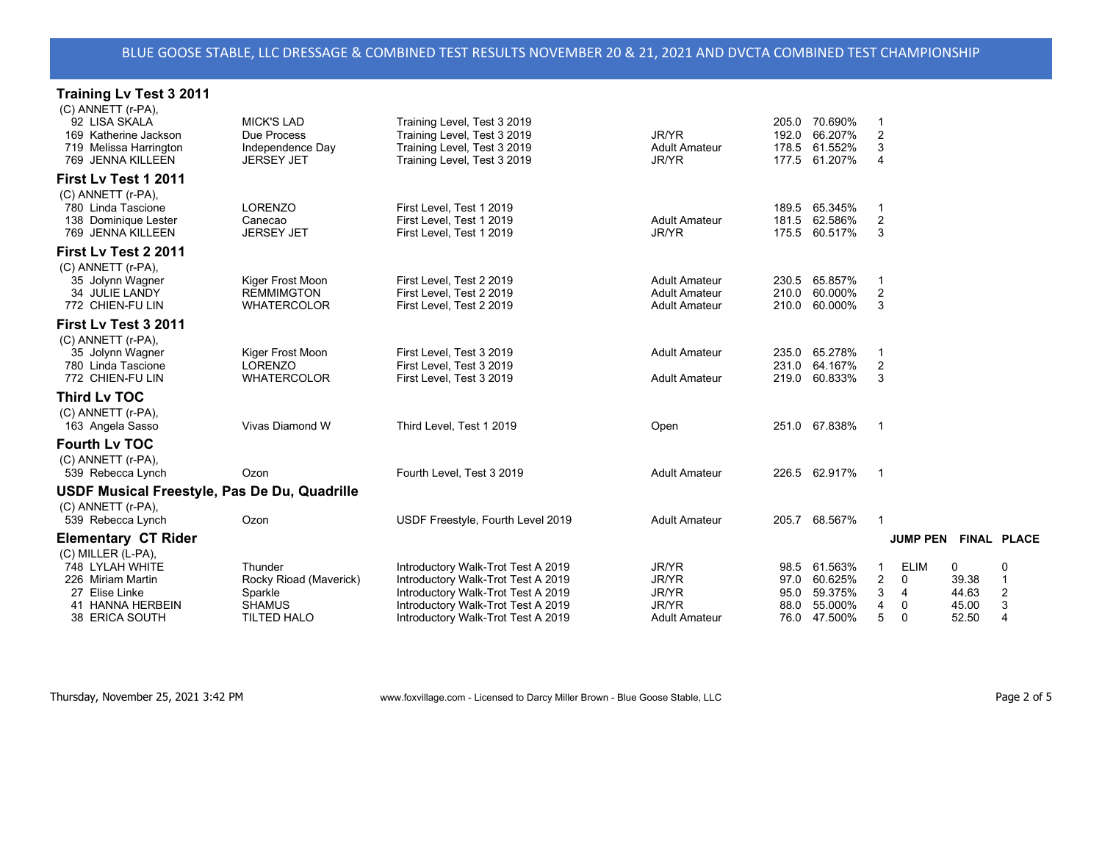| <b>Training Lv Test 3 2011</b>                                                                                     |                                                                                     |                                                                                                                                                                                            |                                                                               |                      |                                                               |                         |                                                   |                                       |                                                 |
|--------------------------------------------------------------------------------------------------------------------|-------------------------------------------------------------------------------------|--------------------------------------------------------------------------------------------------------------------------------------------------------------------------------------------|-------------------------------------------------------------------------------|----------------------|---------------------------------------------------------------|-------------------------|---------------------------------------------------|---------------------------------------|-------------------------------------------------|
| (C) ANNETT (r-PA),<br>92 LISA SKALA<br>169 Katherine Jackson<br>719 Melissa Harrington<br>769 JENNA KILLEEN        | <b>MICK'S LAD</b><br>Due Process<br>Independence Day<br><b>JERSEY JET</b>           | Training Level, Test 3 2019<br>Training Level, Test 3 2019<br>Training Level, Test 3 2019<br>Training Level, Test 3 2019                                                                   | JR/YR<br><b>Adult Amateur</b><br>JR/YR                                        | 192.0                | 205.0 70.690%<br>66.207%<br>178.5 61.552%<br>177.5 61.207%    | -1<br>2<br>3<br>4       |                                                   |                                       |                                                 |
| First Lv Test 1 2011                                                                                               |                                                                                     |                                                                                                                                                                                            |                                                                               |                      |                                                               |                         |                                                   |                                       |                                                 |
| (C) ANNETT (r-PA),<br>780 Linda Tascione<br>138 Dominique Lester<br>769 JENNA KILLEEN                              | <b>LORENZO</b><br>Canecao<br><b>JERSEY JET</b>                                      | First Level, Test 1 2019<br>First Level, Test 1 2019<br>First Level, Test 1 2019                                                                                                           | <b>Adult Amateur</b><br><b>JR/YR</b>                                          |                      | 189.5 65.345%<br>181.5 62.586%<br>175.5 60.517%               | 2<br>3                  |                                                   |                                       |                                                 |
| First Lv Test 2 2011                                                                                               |                                                                                     |                                                                                                                                                                                            |                                                                               |                      |                                                               |                         |                                                   |                                       |                                                 |
| (C) ANNETT (r-PA),<br>35 Jolynn Wagner<br>34 JULIE LANDY<br>772 CHIEN-FU LIN                                       | Kiger Frost Moon<br><b>REMMIMGTON</b><br><b>WHATERCOLOR</b>                         | First Level, Test 2 2019<br>First Level, Test 2 2019<br>First Level, Test 2 2019                                                                                                           | <b>Adult Amateur</b><br><b>Adult Amateur</b><br><b>Adult Amateur</b>          |                      | 230.5 65.857%<br>210.0 60.000%<br>210.0 60.000%               | 2<br>3                  |                                                   |                                       |                                                 |
| First Lv Test 3 2011                                                                                               |                                                                                     |                                                                                                                                                                                            |                                                                               |                      |                                                               |                         |                                                   |                                       |                                                 |
| (C) ANNETT (r-PA),<br>35 Jolynn Wagner<br>780 Linda Tascione<br>772 CHIEN-FU LIN                                   | Kiger Frost Moon<br><b>LORENZO</b><br><b>WHATERCOLOR</b>                            | First Level, Test 3 2019<br>First Level, Test 3 2019<br>First Level, Test 3 2019                                                                                                           | <b>Adult Amateur</b><br><b>Adult Amateur</b>                                  |                      | 235.0 65.278%<br>231.0 64.167%<br>219.0 60.833%               | $\overline{c}$<br>3     |                                                   |                                       |                                                 |
| <b>Third Lv TOC</b>                                                                                                |                                                                                     |                                                                                                                                                                                            |                                                                               |                      |                                                               |                         |                                                   |                                       |                                                 |
| (C) ANNETT (r-PA),<br>163 Angela Sasso                                                                             | Vivas Diamond W                                                                     | Third Level, Test 1 2019                                                                                                                                                                   | Open                                                                          |                      | 251.0 67.838%                                                 | $\overline{1}$          |                                                   |                                       |                                                 |
| <b>Fourth Lv TOC</b>                                                                                               |                                                                                     |                                                                                                                                                                                            |                                                                               |                      |                                                               |                         |                                                   |                                       |                                                 |
| (C) ANNETT (r-PA),<br>539 Rebecca Lynch                                                                            | Ozon                                                                                | Fourth Level, Test 3 2019                                                                                                                                                                  | <b>Adult Amateur</b>                                                          |                      | 226.5 62.917%                                                 | $\overline{1}$          |                                                   |                                       |                                                 |
| <b>USDF Musical Freestyle, Pas De Du, Quadrille</b>                                                                |                                                                                     |                                                                                                                                                                                            |                                                                               |                      |                                                               |                         |                                                   |                                       |                                                 |
| (C) ANNETT (r-PA),<br>539 Rebecca Lynch                                                                            | Ozon                                                                                | USDF Freestyle, Fourth Level 2019                                                                                                                                                          | <b>Adult Amateur</b>                                                          |                      | 205.7 68.567%                                                 | $\overline{\mathbf{1}}$ |                                                   |                                       |                                                 |
| <b>Elementary CT Rider</b>                                                                                         |                                                                                     |                                                                                                                                                                                            |                                                                               |                      |                                                               |                         | JUMP PEN FINAL PLACE                              |                                       |                                                 |
| (C) MILLER (L-PA),<br>748 LYLAH WHITE<br>226 Miriam Martin<br>27 Elise Linke<br>41 HANNA HERBEIN<br>38 ERICA SOUTH | Thunder<br>Rocky Rioad (Maverick)<br>Sparkle<br><b>SHAMUS</b><br><b>TILTED HALO</b> | Introductory Walk-Trot Test A 2019<br>Introductory Walk-Trot Test A 2019<br>Introductory Walk-Trot Test A 2019<br>Introductory Walk-Trot Test A 2019<br>Introductory Walk-Trot Test A 2019 | JR/YR<br><b>JR/YR</b><br><b>JR/YR</b><br><b>JR/YR</b><br><b>Adult Amateur</b> | 97.0<br>95.0<br>88.0 | 98.5 61.563%<br>60.625%<br>59.375%<br>55.000%<br>76.0 47.500% | -1<br>2<br>3<br>4<br>5  | <b>ELIM</b><br>$\mathbf{0}$<br>4<br>0<br>$\Omega$ | 0<br>39.38<br>44.63<br>45.00<br>52.50 | 0<br>$\overline{1}$<br>2<br>3<br>$\overline{4}$ |
|                                                                                                                    |                                                                                     |                                                                                                                                                                                            |                                                                               |                      |                                                               |                         |                                                   |                                       |                                                 |

Thursday, November 25, 2021 3:42 PM www.foxvillage.com - Licensed to Darcy Miller Brown - Blue Goose Stable, LLC Page 2 of 5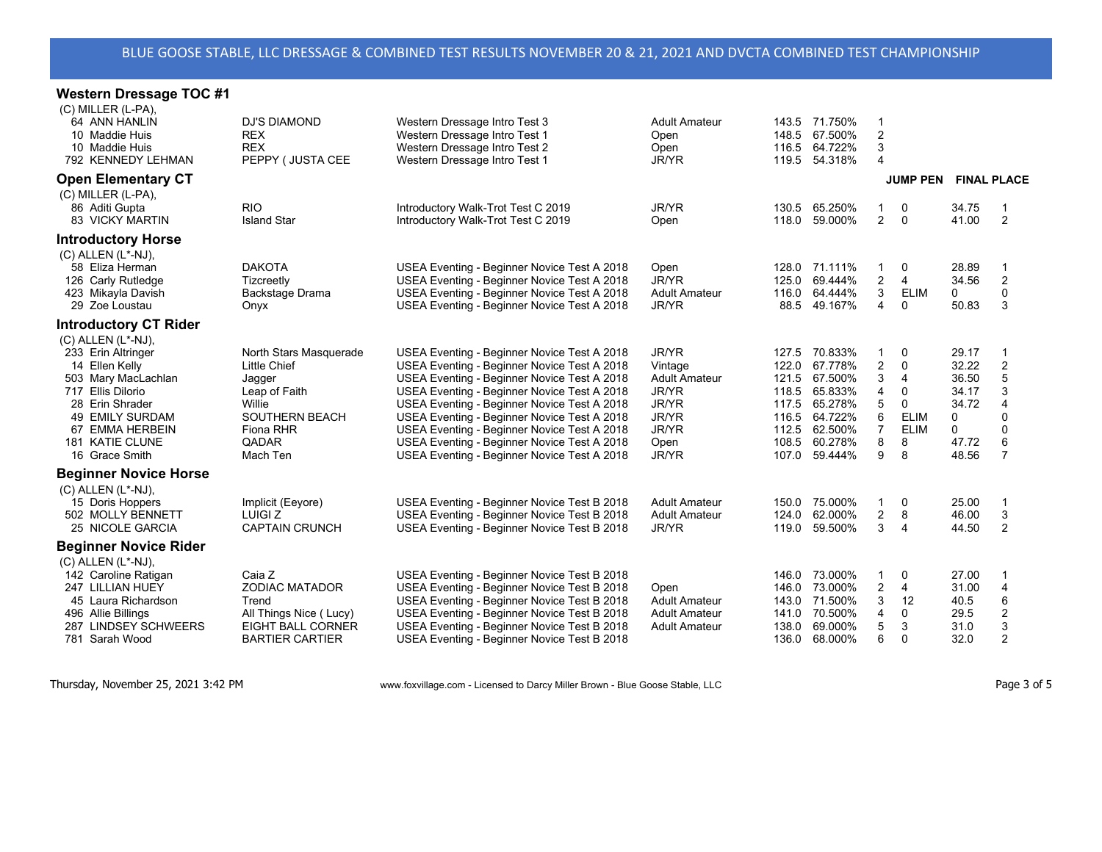## **Western Dressage TOC #1**

| $(C)$ MILLER $(L-PA)$ ,<br>64 ANN HANLIN<br>10 Maddie Huis<br>10 Maddie Huis<br>792 KENNEDY LEHMAN<br><b>Open Elementary CT</b>                                                                                   | DJ'S DIAMOND<br><b>REX</b><br><b>REX</b><br>PEPPY ( JUSTA CEE                                                                                 | Western Dressage Intro Test 3<br>Western Dressage Intro Test 1<br>Western Dressage Intro Test 2<br>Western Dressage Intro Test 1                                                                                                                                                                                                                                                                                                    | Adult Amateur<br>Open<br>Open<br>JR/YR                                                        | 143.5 71.750%<br>148.5 67.500%<br>116.5 64.722%<br>119.5 54.318%                                                                                                  | 1<br>2<br>3<br>4                                               | <b>JUMP PEN</b>                                                          | <b>FINAL PLACE</b>                                                    |                                                                                           |
|-------------------------------------------------------------------------------------------------------------------------------------------------------------------------------------------------------------------|-----------------------------------------------------------------------------------------------------------------------------------------------|-------------------------------------------------------------------------------------------------------------------------------------------------------------------------------------------------------------------------------------------------------------------------------------------------------------------------------------------------------------------------------------------------------------------------------------|-----------------------------------------------------------------------------------------------|-------------------------------------------------------------------------------------------------------------------------------------------------------------------|----------------------------------------------------------------|--------------------------------------------------------------------------|-----------------------------------------------------------------------|-------------------------------------------------------------------------------------------|
| (C) MILLER (L-PA),<br>86 Aditi Gupta<br><b>83 VICKY MARTIN</b>                                                                                                                                                    | <b>RIO</b><br><b>Island Star</b>                                                                                                              | Introductory Walk-Trot Test C 2019<br>Introductory Walk-Trot Test C 2019                                                                                                                                                                                                                                                                                                                                                            | JR/YR<br>Open                                                                                 | 130.5 65.250%<br>118.0<br>59.000%                                                                                                                                 | 1<br>2                                                         | 0<br>0                                                                   | 34.75<br>41.00                                                        | 2                                                                                         |
| <b>Introductory Horse</b><br>$(C)$ ALLEN $(L^*$ -NJ),<br>58 Eliza Herman<br>126 Carly Rutledge<br>423 Mikayla Davish<br>29 Zoe Loustau                                                                            | <b>DAKOTA</b><br>Tizcreetly<br>Backstage Drama<br>Onyx                                                                                        | USEA Eventing - Beginner Novice Test A 2018<br>USEA Eventing - Beginner Novice Test A 2018<br>USEA Eventing - Beginner Novice Test A 2018<br>USEA Eventing - Beginner Novice Test A 2018                                                                                                                                                                                                                                            | Open<br>JR/YR<br><b>Adult Amateur</b><br>JR/YR                                                | 128.0 71.111%<br>125.0<br>69.444%<br>116.0 64.444%<br>88.5 49.167%                                                                                                | 1<br>$\overline{2}$<br>3<br>4                                  | 0<br>4<br><b>ELIM</b><br>0                                               | 28.89<br>34.56<br>0<br>50.83                                          | $\overline{2}$<br>$\Omega$<br>3                                                           |
| <b>Introductory CT Rider</b>                                                                                                                                                                                      |                                                                                                                                               |                                                                                                                                                                                                                                                                                                                                                                                                                                     |                                                                                               |                                                                                                                                                                   |                                                                |                                                                          |                                                                       |                                                                                           |
| $(C)$ ALLEN $(L^*$ -NJ),<br>233 Erin Altringer<br>14 Ellen Kelly<br>503 Mary MacLachlan<br>717 Ellis Dilorio<br>28 Erin Shrader<br><b>49 EMILY SURDAM</b><br>67 EMMA HERBEIN<br>181 KATIE CLUNE<br>16 Grace Smith | North Stars Masquerade<br><b>Little Chief</b><br>Jagger<br>Leap of Faith<br>Willie<br><b>SOUTHERN BEACH</b><br>Fiona RHR<br>QADAR<br>Mach Ten | USEA Eventing - Beginner Novice Test A 2018<br>USEA Eventing - Beginner Novice Test A 2018<br>USEA Eventing - Beginner Novice Test A 2018<br>USEA Eventing - Beginner Novice Test A 2018<br>USEA Eventing - Beginner Novice Test A 2018<br>USEA Eventing - Beginner Novice Test A 2018<br>USEA Eventing - Beginner Novice Test A 2018<br>USEA Eventing - Beginner Novice Test A 2018<br>USEA Eventing - Beginner Novice Test A 2018 | JR/YR<br>Vintage<br><b>Adult Amateur</b><br>JR/YR<br>JR/YR<br>JR/YR<br>JR/YR<br>Open<br>JR/YR | 127.5 70.833%<br>122.0<br>67.778%<br>121.5 67.500%<br>118.5 65.833%<br>117.5<br>65.278%<br>64.722%<br>116.5<br>112.5 62.500%<br>108.5 60.278%<br>107.0<br>59.444% | $\overline{2}$<br>3<br>4<br>5<br>6<br>$\overline{7}$<br>8<br>9 | 0<br>$\mathbf{0}$<br>4<br>0<br>0<br><b>ELIM</b><br><b>ELIM</b><br>8<br>8 | 29.17<br>32.22<br>36.50<br>34.17<br>34.72<br>0<br>0<br>47.72<br>48.56 | $\overline{2}$<br>5<br>3<br>$\overline{4}$<br>$\Omega$<br>$\Omega$<br>6<br>$\overline{7}$ |
| <b>Beginner Novice Horse</b><br>$(C)$ ALLEN $(L^*$ -NJ $),$<br>15 Doris Hoppers<br>502 MOLLY BENNETT<br>25 NICOLE GARCIA                                                                                          | Implicit (Eeyore)<br>LUIGI Z<br><b>CAPTAIN CRUNCH</b>                                                                                         | USEA Eventing - Beginner Novice Test B 2018<br>USEA Eventing - Beginner Novice Test B 2018<br>USEA Eventing - Beginner Novice Test B 2018                                                                                                                                                                                                                                                                                           | <b>Adult Amateur</b><br><b>Adult Amateur</b><br>JR/YR                                         | 150.0 75.000%<br>62.000%<br>124.0<br>119.0<br>59.500%                                                                                                             | 1<br>$\overline{c}$<br>3                                       | 0<br>8<br>4                                                              | 25.00<br>46.00<br>44.50                                               | 3<br>2                                                                                    |
| <b>Beginner Novice Rider</b><br>$(C)$ ALLEN $(L^*$ -NJ),<br>142 Caroline Ratigan<br>247 LILLIAN HUEY<br>45 Laura Richardson<br>496 Allie Billings<br>287 LINDSEY SCHWEERS<br>781 Sarah Wood                       | Caia Z<br><b>ZODIAC MATADOR</b><br>Trend<br>All Things Nice (Lucy)<br>EIGHT BALL CORNER<br><b>BARTIER CARTIER</b>                             | USEA Eventing - Beginner Novice Test B 2018<br>USEA Eventing - Beginner Novice Test B 2018<br>USEA Eventing - Beginner Novice Test B 2018<br>USEA Eventing - Beginner Novice Test B 2018<br>USEA Eventing - Beginner Novice Test B 2018<br>USEA Eventing - Beginner Novice Test B 2018                                                                                                                                              | Open<br><b>Adult Amateur</b><br><b>Adult Amateur</b><br><b>Adult Amateur</b>                  | 73.000%<br>146.0<br>73.000%<br>146.0<br>71.500%<br>143.0<br>70.500%<br>141.0<br>69.000%<br>138.0<br>136.0 68.000%                                                 | 1<br>2<br>3<br>4<br>5<br>6                                     | 0<br>4<br>12<br>0<br>3<br>$\Omega$                                       | 27.00<br>31.00<br>40.5<br>29.5<br>31.0<br>32.0                        | $\overline{4}$<br>6<br>$\overline{c}$<br>3<br>$\overline{2}$                              |
|                                                                                                                                                                                                                   |                                                                                                                                               |                                                                                                                                                                                                                                                                                                                                                                                                                                     |                                                                                               |                                                                                                                                                                   |                                                                |                                                                          |                                                                       |                                                                                           |

Thursday, November 25, 2021 3:42 PM www.foxvillage.com - Licensed to Darcy Miller Brown - Blue Goose Stable, LLC Page 3 of 5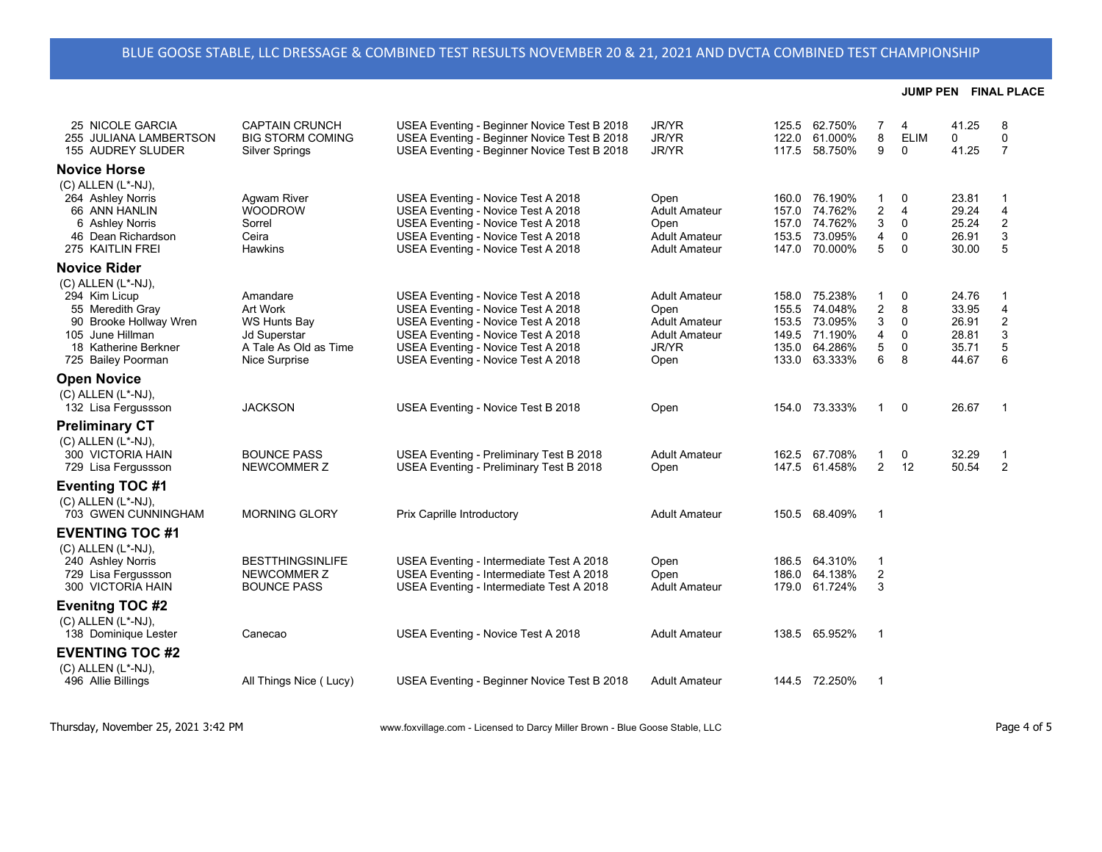| 25 NICOLE GARCIA<br>255 JULIANA LAMBERTSON<br>155 AUDREY SLUDER                                                                                           | <b>CAPTAIN CRUNCH</b><br><b>BIG STORM COMING</b><br><b>Silver Springs</b>                                    | USEA Eventing - Beginner Novice Test B 2018<br>USEA Eventing - Beginner Novice Test B 2018<br>USEA Eventing - Beginner Novice Test B 2018                                                                                        | <b>JR/YR</b><br><b>JR/YR</b><br>JR/YR                                                                | 125.5<br>122.0<br>117.5 | 62.750%<br>61.000%<br>58.750%                                                    | 7<br>8<br>9                    | $\overline{4}$<br><b>ELIM</b><br>0                 | 41.25<br>0<br>41.25                                | 8<br>$\mathbf 0$<br>$\overline{7}$                                           |
|-----------------------------------------------------------------------------------------------------------------------------------------------------------|--------------------------------------------------------------------------------------------------------------|----------------------------------------------------------------------------------------------------------------------------------------------------------------------------------------------------------------------------------|------------------------------------------------------------------------------------------------------|-------------------------|----------------------------------------------------------------------------------|--------------------------------|----------------------------------------------------|----------------------------------------------------|------------------------------------------------------------------------------|
| <b>Novice Horse</b>                                                                                                                                       |                                                                                                              |                                                                                                                                                                                                                                  |                                                                                                      |                         |                                                                                  |                                |                                                    |                                                    |                                                                              |
| $(C)$ ALLEN $(L^*$ -NJ),<br>264 Ashley Norris<br>66 ANN HANLIN<br>6 Ashley Norris<br>46 Dean Richardson<br>275 KAITLIN FREI                               | Agwam River<br><b>WOODROW</b><br>Sorrel<br>Ceira<br><b>Hawkins</b>                                           | USEA Eventing - Novice Test A 2018<br>USEA Eventing - Novice Test A 2018<br>USEA Eventing - Novice Test A 2018<br>USEA Eventing - Novice Test A 2018<br>USEA Eventing - Novice Test A 2018                                       | Open<br><b>Adult Amateur</b><br>Open<br><b>Adult Amateur</b><br><b>Adult Amateur</b>                 | 157.0                   | 160.0 76.190%<br>157.0 74.762%<br>74.762%<br>153.5 73.095%<br>147.0 70.000%      | 1<br>2<br>3<br>4<br>5          | 0<br>$\overline{4}$<br>$\Omega$<br>0<br>$\Omega$   | 23.81<br>29.24<br>25.24<br>26.91<br>30.00          | $\mathbf{1}$<br>4<br>$\mathbf 2$<br>3<br>5                                   |
| <b>Novice Rider</b>                                                                                                                                       |                                                                                                              |                                                                                                                                                                                                                                  |                                                                                                      |                         |                                                                                  |                                |                                                    |                                                    |                                                                              |
| $(C)$ ALLEN $(L^*$ -NJ).<br>294 Kim Licup<br>55 Meredith Gray<br>90 Brooke Hollway Wren<br>105 June Hillman<br>18 Katherine Berkner<br>725 Bailey Poorman | Amandare<br>Art Work<br><b>WS Hunts Bay</b><br><b>Jd Superstar</b><br>A Tale As Old as Time<br>Nice Surprise | USEA Eventing - Novice Test A 2018<br>USEA Eventing - Novice Test A 2018<br>USEA Eventing - Novice Test A 2018<br>USEA Eventing - Novice Test A 2018<br>USEA Eventing - Novice Test A 2018<br>USEA Eventing - Novice Test A 2018 | <b>Adult Amateur</b><br>Open<br><b>Adult Amateur</b><br><b>Adult Amateur</b><br><b>JR/YR</b><br>Open | 155.5<br>149.5<br>135.0 | 158.0 75.238%<br>74.048%<br>153.5 73.095%<br>71.190%<br>64.286%<br>133.0 63.333% | 1<br>2<br>3<br>4<br>5<br>6     | 0<br>8<br>$\Omega$<br>$\Omega$<br>$\mathbf 0$<br>8 | 24.76<br>33.95<br>26.91<br>28.81<br>35.71<br>44.67 | $\mathbf{1}$<br>4<br>$\boldsymbol{2}$<br>$\ensuremath{\mathsf{3}}$<br>5<br>6 |
| <b>Open Novice</b>                                                                                                                                        |                                                                                                              |                                                                                                                                                                                                                                  |                                                                                                      |                         |                                                                                  |                                |                                                    |                                                    |                                                                              |
| (C) ALLEN (L*-NJ).<br>132 Lisa Fergussson                                                                                                                 | <b>JACKSON</b>                                                                                               | USEA Eventing - Novice Test B 2018                                                                                                                                                                                               | Open                                                                                                 |                         | 154.0 73.333%                                                                    | 1                              | 0                                                  | 26.67                                              | $\overline{1}$                                                               |
| <b>Preliminary CT</b>                                                                                                                                     |                                                                                                              |                                                                                                                                                                                                                                  |                                                                                                      |                         |                                                                                  |                                |                                                    |                                                    |                                                                              |
| $(C)$ ALLEN $(L^*$ -NJ),<br>300 VICTORIA HAIN<br>729 Lisa Fergussson                                                                                      | <b>BOUNCE PASS</b><br>NEWCOMMER Z                                                                            | USEA Eventing - Preliminary Test B 2018<br>USEA Eventing - Preliminary Test B 2018                                                                                                                                               | <b>Adult Amateur</b><br>Open                                                                         | 162.5<br>147.5          | 67.708%<br>61.458%                                                               | $\mathbf{1}$<br>$\overline{2}$ | 0<br>12                                            | 32.29<br>50.54                                     | $\mathbf{1}$<br>2                                                            |
| <b>Eventing TOC #1</b>                                                                                                                                    |                                                                                                              |                                                                                                                                                                                                                                  |                                                                                                      |                         |                                                                                  |                                |                                                    |                                                    |                                                                              |
| $(C)$ ALLEN $(L^*$ -NJ),<br>703 GWEN CUNNINGHAM                                                                                                           | <b>MORNING GLORY</b>                                                                                         | Prix Caprille Introductory                                                                                                                                                                                                       | <b>Adult Amateur</b>                                                                                 |                         | 150.5 68.409%                                                                    | -1                             |                                                    |                                                    |                                                                              |
| <b>EVENTING TOC #1</b><br>(C) ALLEN (L*-NJ),<br>240 Ashley Norris<br>729 Lisa Fergussson<br>300 VICTORIA HAIN                                             | <b>BESTTHINGSINLIFE</b><br>NEWCOMMER Z<br><b>BOUNCE PASS</b>                                                 | USEA Eventing - Intermediate Test A 2018<br>USEA Eventing - Intermediate Test A 2018<br>USEA Eventing - Intermediate Test A 2018                                                                                                 | Open<br>Open<br><b>Adult Amateur</b>                                                                 | 186.0                   | 186.5 64.310%<br>64.138%<br>179.0 61.724%                                        | $\mathbf 1$<br>2<br>3          |                                                    |                                                    |                                                                              |
| <b>Evenitng TOC #2</b>                                                                                                                                    |                                                                                                              |                                                                                                                                                                                                                                  |                                                                                                      |                         |                                                                                  |                                |                                                    |                                                    |                                                                              |
| $(C)$ ALLEN $(L^*$ -NJ),<br>138 Dominique Lester                                                                                                          | Canecao                                                                                                      | USEA Eventing - Novice Test A 2018                                                                                                                                                                                               | <b>Adult Amateur</b>                                                                                 |                         | 138.5 65.952%                                                                    | $\overline{1}$                 |                                                    |                                                    |                                                                              |
| <b>EVENTING TOC #2</b>                                                                                                                                    |                                                                                                              |                                                                                                                                                                                                                                  |                                                                                                      |                         |                                                                                  |                                |                                                    |                                                    |                                                                              |
| $(C)$ ALLEN $(L^*$ -NJ),<br>496 Allie Billings                                                                                                            | All Things Nice (Lucy)                                                                                       | USEA Eventing - Beginner Novice Test B 2018                                                                                                                                                                                      | <b>Adult Amateur</b>                                                                                 |                         | 144.5 72.250%                                                                    | -1                             |                                                    |                                                    |                                                                              |
|                                                                                                                                                           |                                                                                                              |                                                                                                                                                                                                                                  |                                                                                                      |                         |                                                                                  |                                |                                                    |                                                    |                                                                              |

Thursday, November 25, 2021 3:42 PM www.foxvillage.com - Licensed to Darcy Miller Brown - Blue Goose Stable, LLC Page 4 of 5

**JUMP PEN FINAL PLACE**